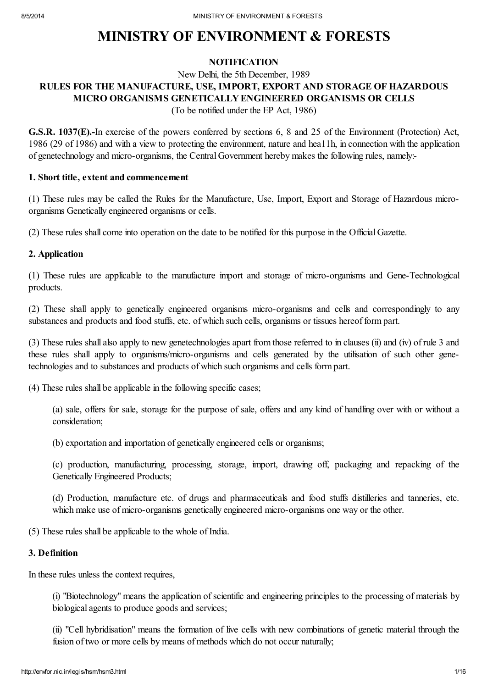# MINISTRY OF ENVIRONMENT & FORESTS

#### **NOTIFICATION**

# New Delhi, the 5th December, 1989 RULES FOR THE MANUFACTURE, USE, IMPORT, EXPORT AND STORAGE OF HAZARDOUS MICRO ORGANISMS GENETICALLY ENGINEERED ORGANISMS OR CELLS

(To be notified under the EP Act, 1986)

G.S.R. 1037(E).-In exercise of the powers conferred by sections 6, 8 and 25 of the Environment (Protection) Act, 1986 (29 of 1986) and with a view to protecting the environment, nature and hea11h, in connection with the application of genetechnology and micro-organisms, the Central Government hereby makes the following rules, namely:-

#### 1. Short title, extent and commencement

(1) These rules may be called the Rules for the Manufacture, Use, Import, Export and Storage of Hazardous microorganisms Genetically engineered organisms or cells.

(2) These rules shall come into operation on the date to be notified for this purpose in the Official Gazette.

#### 2. Application

(1) These rules are applicable to the manufacture import and storage of micro-organisms and Gene-Technological products.

(2) These shall apply to genetically engineered organisms micro-organisms and cells and correspondingly to any substances and products and food stuffs, etc. of which such cells, organisms or tissues hereof form part.

(3) These rules shall also apply to new genetechnologies apart from those referred to in clauses (ii) and (iv) of rule 3 and these rules shall apply to organisms/micro-organisms and cells generated by the utilisation of such other genetechnologies and to substances and products of which such organisms and cells form part.

(4) These rules shall be applicable in the following specific cases;

(a) sale, offers for sale, storage for the purpose of sale, offers and any kind of handling over with or without a consideration;

(b) exportation and importation of genetically engineered cells or organisms;

(c) production, manufacturing, processing, storage, import, drawing off, packaging and repacking of the Genetically Engineered Products;

(d) Production, manufacture etc. of drugs and pharmaceuticals and food stuffs distilleries and tanneries, etc. which make use of micro-organisms genetically engineered micro-organisms one way or the other.

(5) These rules shall be applicable to the whole of India.

#### 3. Definition

In these rules unless the context requires,

(i) "Biotechnology" means the application of scientific and engineering principles to the processing of materials by biological agents to produce goods and services;

(ii) "Cell hybridisation" means the formation of live cells with new combinations of genetic material through the fusion of two or more cells by means of methods which do not occur naturally;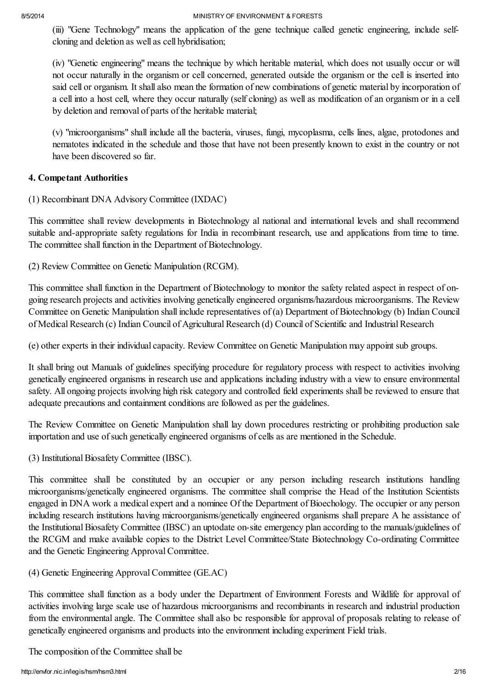(iii) "Gene Technology" means the application of the gene technique called genetic engineering, include selfcloning and deletion as well as cell hybridisation;

(iv) "Genetic engineering" means the technique by which heritable material, which does not usually occur or will not occur naturally in the organism or cell concerned, generated outside the organism or the cell is inserted into said cell or organism. It shall also mean the formation of new combinations of genetic material by incorporation of a cell into a host cell, where they occur naturally (self cloning) as well as modification of an organism or in a cell by deletion and removal of parts of the heritable material;

(v) "microorganisms" shall include all the bacteria, viruses, fungi, mycoplasma, cells lines, algae, protodones and nematotes indicated in the schedule and those that have not been presently known to exist in the country or not have been discovered so far.

# 4. Competant Authorities

(1) Recombinant DNA Advisory Committee (IXDAC)

This committee shall review developments in Biotechnology al national and international levels and shall recommend suitable and-appropriate safety regulations for India in recombinant research, use and applications from time to time. The committee shall function in the Department of Biotechnology.

(2) Review Committee on Genetic Manipulation (RCGM).

This committee shall function in the Department of Biotechnology to monitor the safety related aspect in respect of ongoing research projects and activities involving genetically engineered organisms/hazardous microorganisms. The Review Committee on Genetic Manipulation shall include representatives of (a) Department of Biotechnology (b) Indian Council of Medical Research (c) Indian Council of Agricultural Research (d) Council of Scientific and Industrial Research

(e) other experts in their individual capacity. Review Committee on Genetic Manipulation may appoint sub groups.

It shall bring out Manuals of guidelines specifying procedure for regulatory process with respect to activities involving genetically engineered organisms in research use and applications including industry with a view to ensure environmental safety. All ongoing projects involving high risk category and controlled field experiments shall be reviewed to ensure that adequate precautions and containment conditions are followed as per the guidelines.

The Review Committee on Genetic Manipulation shall lay down procedures restricting or prohibiting production sale importation and use of such genetically engineered organisms of cells as are mentioned in the Schedule.

(3) InstitutionalBiosafety Committee (IBSC).

This committee shall be constituted by an occupier or any person including research institutions handling microorganisms/genetically engineered organisms. The committee shall comprise the Head of the Institution Scientists engaged in DNA work a medical expert and a nominee Of the Department of Bioechology. The occupier or any person including research institutions having microorganisms/genetically engineered organisms shall prepare A he assistance of the Institutional Biosafety Committee (IBSC) an uptodate on-site emergency plan according to the manuals/guidelines of the RCGM and make available copies to the District Level Committee/State Biotechnology Co-ordinating Committee and the Genetic Engineering Approval Committee.

# (4) Genetic Engineering ApprovalCommittee (GE.AC)

This committee shall function as a body under the Department of Environment Forests and Wildlife for approval of activities involving large scale use of hazardous microorganisms and recombinants in research and industrial production from the environmental angle. The Committee shall also bc responsible for approval of proposals relating to release of genetically engineered organisms and products into the environment including experiment Field trials.

The composition of the Committee shall be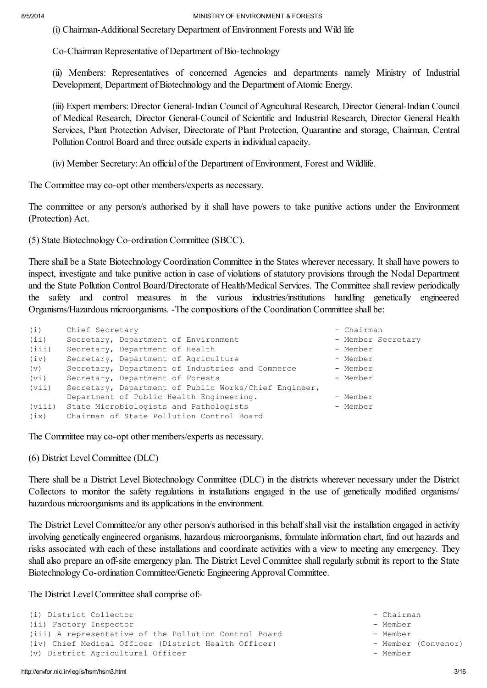(i) Chairman-Additional Secretary Department of Environment Forests and Wild life

Co-Chairman Representative of Department of Bio-technology

(ii) Members: Representatives of concerned Agencies and departments namely Ministry of Industrial Development, Department of Biotechnology and the Department of Atomic Energy.

(iii) Expert members: Director General-Indian Council of Agricultural Research, Director General-Indian Council of Medical Research, Director General-Council of Scientific and Industrial Research, Director General Health Services, Plant Protection Adviser, Directorate of Plant Protection, Quarantine and storage, Chairman, Central Pollution Control Board and three outside experts in individual capacity.

(iv) Member Secretary: An official of the Department of Environment, Forest and Wildlife.

The Committee may co-opt other members/experts as necessary.

The committee or any person/s authorised by it shall have powers to take punitive actions under the Environment (Protection) Act.

(5) State Biotechnology Co-ordination Committee (SBCC).

There shall be a State Biotechnology Coordination Committee in the States wherever necessary. It shall have powers to inspect, investigate and take punitive action in case of violations of statutory provisions through the Nodal Department and the State Pollution Control Board/Directorate of Health/Medical Services. The Committee shall review periodically the safety and control measures in the various industries/institutions handling genetically engineered Organisms/Hazardous microorganisms. -The compositions of the Coordination Committee shall be:

| (i)    | Chief Secretary                                       | - Chairman         |
|--------|-------------------------------------------------------|--------------------|
| (iii)  | Secretary, Department of Environment                  | - Member Secretary |
| (iii)  | Secretary, Department of Health                       | - Member           |
| (iv)   | Secretary, Department of Agriculture                  | - Member           |
| (v)    | Secretary, Department of Industries and Commerce      | - Member           |
| (vi)   | Secretary, Department of Forests                      | - Member           |
| (vii)  | Secretary, Department of Public Works/Chief Engineer, |                    |
|        | Department of Public Health Engineering.              | - Member           |
| (viii) | State Microbiologists and Pathologists                | - Member           |
| (ix)   | Chairman of State Pollution Control Board             |                    |

The Committee may co-opt other members/experts as necessary.

(6) District LevelCommittee (DLC)

There shall be a District Level Biotechnology Committee (DLC) in the districts wherever necessary under the District Collectors to monitor the safety regulations in installations engaged in the use of genetically modified organisms/ hazardous microorganisms and its applications in the environment.

The District Level Committee/or any other person/s authorised in this behalf shall visit the installation engaged in activity involving genetically engineered organisms, hazardous microorganisms, formulate information chart, find out hazards and risks associated with each of these installations and coordinate activities with a view to meeting any emergency. They shall also prepare an off-site emergency plan. The District Level Committee shall regularly submit its report to the State Biotechnology Co-ordination Committee/Genetic Engineering Approval Committee.

The District Level Committee shall comprise of:-

```
(i) District Collector - Chairman
(ii) Factory Inspector - Member
(iii) A representative of the Pollution Control Board - Member
(iv) Chief Medical Officer (District Health Officer) - Member (Convenor)
(v) District Agricultural Officer - Member - Member
```
- 
- -
-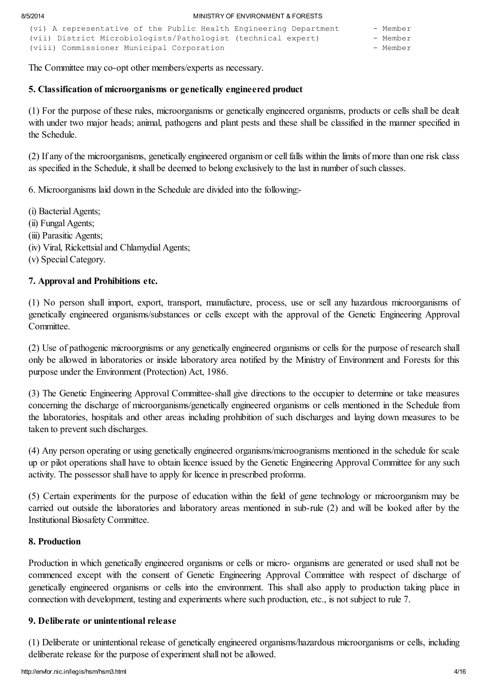| (vi) A representative of the Public Health Engineering Department | - Member |
|-------------------------------------------------------------------|----------|
| (vii) District Microbiologists/Pathologist (technical expert)     | - Member |
| (viii) Commissioner Municipal Corporation                         | - Member |

The Committee may co-opt other members/experts as necessary.

#### 5. Classification of microorganisms or genetically engineered product

(1) For the purpose of these rules, microorganisms or genetically engineered organisms, products or cells shall be dealt with under two major heads; animal, pathogens and plant pests and these shall be classified in the manner specified in the Schedule.

(2) If any of the microorganisms, genetically engineered organism or cell falls within the limits of more than one risk class as specified in the Schedule, it shall be deemed to belong exclusively to the last in number ofsuch classes.

6. Microorganisms laid down in the Schedule are divided into the following:-

(i) Bacterial Agents; (ii) Fungal Agents; (iii) Parasitic Agents; (iv) Viral, Rickettsial and Chlamydial Agents; (v) SpecialCategory.

#### 7. Approval and Prohibitions etc.

(1) No person shall import, export, transport, manufacture, process, use or sell any hazardous microorganisms of genetically engineered organisms/substances or cells except with the approval of the Genetic Engineering Approval **Committee** 

(2) Use of pathogenic microorgnisms or any genetically engineered organisms or cells for the purpose of research shall only be allowed in laboratories or inside laboratory area notified by the Ministry of Environment and Forests for this purpose under the Environment (Protection) Act, 1986.

(3) The Genetic Engineering Approval Committee-shall give directions to the occupier to determine or take measures concerning the discharge of microorganisms/genetically engineered organisms or cells mentioned in the Schedule from the laboratories, hospitals and other areas including prohibition of such discharges and laying down measures to be taken to prevent such discharges.

(4) Any person operating or using genetically engineered organisms/microogranisms mentioned in the schedule for scale up or pilot operations shall have to obtain licence issued by the Genetic Engineering Approval Committee for any such activity. The possessor shall have to apply for licence in prescribed proforma.

(5) Certain experiments for the purpose of education within the field of gene technology or microorganism may be carried out outside the laboratories and laboratory areas mentioned in sub-rule (2) and will be looked after by the Institutional Biosafety Committee.

#### 8. Production

Production in which genetically engineered organisms or cells or micro- organisms are generated or used shall not be commenced except with the consent of Genetic Engineering Approval Committee with respect of discharge of genetically engineered organisms or cells into the environment. This shall also apply to production taking place in connection with development, testing and experiments where such production, etc., is not subject to rule 7.

#### 9. Deliberate or unintentional release

(1) Deliberate or unintentional release of genetically engineered organisms/hazardous microorganisms or cells, including deliberate release for the purpose of experiment shall not be allowed.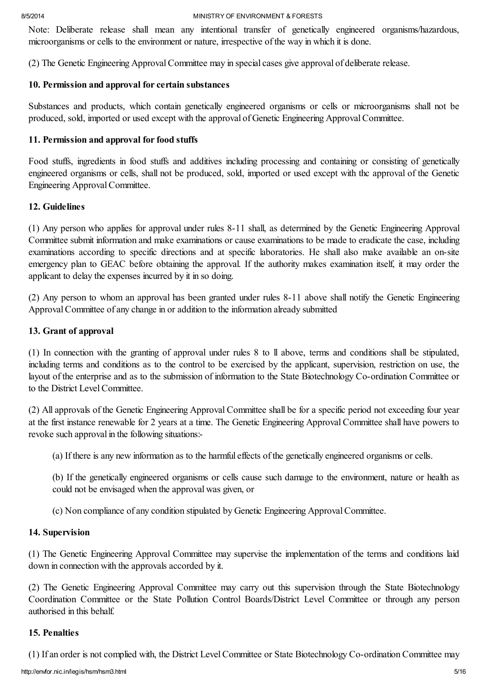Note: Deliberate release shall mean any intentional transfer of genetically engineered organisms/hazardous, microorganisms or cells to the environment or nature, irrespective of the way in which it is done.

(2) The Genetic Engineering ApprovalCommittee may in special cases give approval of deliberate release.

# 10. Permission and approval for certain substances

Substances and products, which contain genetically engineered organisms or cells or microorganisms shall not be produced, sold, imported or used except with the approval of Genetic Engineering ApprovalCommittee.

# 11. Permission and approval for food stuffs

Food stuffs, ingredients in food stuffs and additives including processing and containing or consisting of genetically engineered organisms or cells, shall not be produced, sold, imported or used except with thc approval of the Genetic Engineering ApprovalCommittee.

# 12. Guidelines

(1) Any person who applies for approval under rules 8-11 shall, as determined by the Genetic Engineering Approval Committee submit information and make examinations or cause examinations to be made to eradicate the case, including examinations according to specific directions and at specific laboratories. He shall also make available an on-site emergency plan to GEAC before obtaining the approval. If the authority makes examination itself, it may order the applicant to delay the expenses incurred by it in so doing.

(2) Any person to whom an approval has been granted under rules 8-11 above shall notify the Genetic Engineering Approval Committee of any change in or addition to the information already submitted

# 13. Grant of approval

(1) In connection with the granting of approval under rules 8 to ll above, terms and conditions shall be stipulated, including terms and conditions as to the control to be exercised by the applicant, supervision, restriction on use, the layout of the enterprise and as to the submission of information to the State Biotechnology Co-ordination Committee or to the District LevelCommittee.

(2) All approvals of the Genetic Engineering Approval Committee shall be for a specific period not exceeding four year at the first instance renewable for 2 years at a time. The Genetic Engineering Approval Committee shall have powers to revoke such approval in the following situations:-

(a) If there is any new information as to the harmful effects of the genetically engineered organisms or cells.

(b) If the genetically engineered organisms or cells cause such damage to the environment, nature or health as could not be envisaged when the approval was given, or

(c) Non compliance of any condition stipulated by Genetic Engineering ApprovalCommittee.

# 14. Supervision

(1) The Genetic Engineering Approval Committee may supervise the implementation of the terms and conditions laid down in connection with the approvals accorded by it.

(2) The Genetic Engineering Approval Committee may carry out this supervision through the State Biotechnology Coordination Committee or the State Pollution Control Boards/District Level Committee or through any person authorised in this behalf.

# 15. Penalties

(1) If an order is not complied with, the District LevelCommittee or State Biotechnology Co-ordination Committee may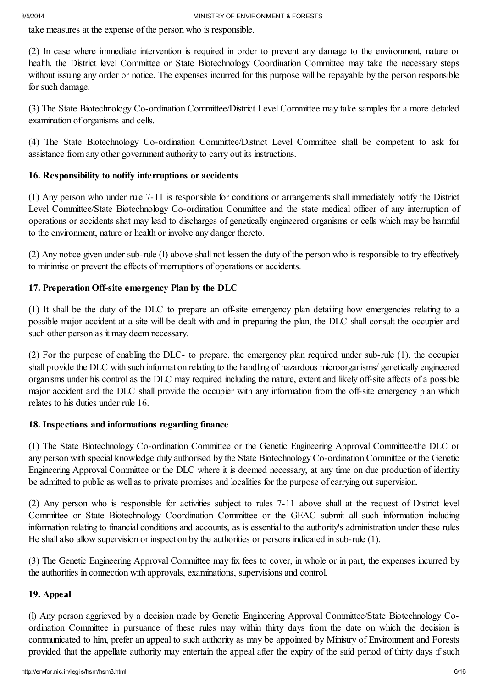take measures at the expense of the person who is responsible.

(2) In case where immediate intervention is required in order to prevent any damage to the environment, nature or health, the District level Committee or State Biotechnology Coordination Committee may take the necessary steps without issuing any order or notice. The expenses incurred for this purpose will be repayable by the person responsible for such damage.

(3) The State Biotechnology Co-ordination Committee/District Level Committee may take samples for a more detailed examination of organisms and cells.

(4) The State Biotechnology Co-ordination Committee/District Level Committee shall be competent to ask for assistance from any other government authority to carry out its instructions.

# 16. Responsibility to notify interruptions or accidents

(1) Any person who under rule 7-11 is responsible for conditions or arrangements shall immediately notify the District Level Committee/State Biotechnology Co-ordination Committee and the state medical officer of any interruption of operations or accidents shat may lead to discharges of genetically engineered organisms or cells which may be harmful to the environment, nature or health or involve any danger thereto.

(2) Any notice given under sub-rule (I) above shall not lessen the duty of the person who is responsible to try effectively to minimise or prevent the effects of interruptions of operations or accidents.

# 17. Preperation Off-site emergency Plan by the DLC

(1) It shall be the duty of the DLC to prepare an off-site emergency plan detailing how emergencies relating to a possible major accident at a site will be dealt with and in preparing the plan, the DLC shall consult the occupier and such other person as it may deem necessary.

(2) For the purpose of enabling the DLC- to prepare. the emergency plan required under sub-rule (1), the occupier shall provide the DLC with such information relating to the handling of hazardous microorganisms/ genetically engineered organisms under his control as the DLC may required including the nature, extent and likely off-site affects of a possible major accident and the DLC shall provide the occupier with any information from the off-site emergency plan which relates to his duties under rule 16.

# 18. Inspections and informations regarding finance

(1) The State Biotechnology Co-ordination Committee or the Genetic Engineering Approval Committee/the DLC or any person with special knowledge duly authorised by the State Biotechnology Co-ordination Committee or the Genetic Engineering Approval Committee or the DLC where it is deemed necessary, at any time on due production of identity be admitted to public as well as to private promises and localities for the purpose of carrying out supervision.

(2) Any person who is responsible for activities subject to rules 7-11 above shall at the request of District level Committee or State Biotechnology Coordination Committee or the GEAC submit all such information including information relating to financial conditions and accounts, as is essential to the authority's administration under these rules He shall also allow supervision or inspection by the authorities or persons indicated in sub-rule (1).

(3) The Genetic Engineering Approval Committee may fix fees to cover, in whole or in part, the expenses incurred by the authorities in connection with approvals, examinations, supervisions and control.

# 19. Appeal

(l) Any person aggrieved by a decision made by Genetic Engineering Approval Committee/State Biotechnology Coordination Committee in pursuance of these rules may within thirty days from the date on which the decision is communicated to him, prefer an appeal to such authority as may be appointed by Ministry of Environment and Forests provided that the appellate authority may entertain the appeal after the expiry of the said period of thirty days if such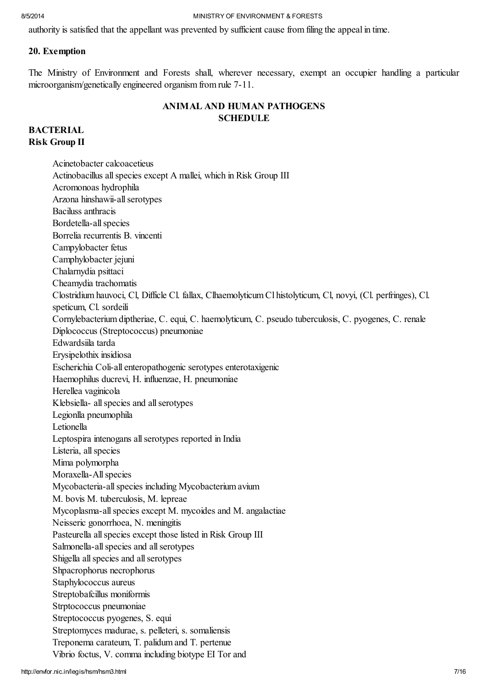authority is satisfied that the appellant was prevented by sufficient cause from filing the appeal in time.

#### 20. Exemption

The Ministry of Environment and Forests shall, wherever necessary, exempt an occupier handling a particular microorganism/genetically engineered organism from rule 7-11.

# ANIMAL AND HUMAN PATHOGENS **SCHEDULE**

# **BACTERIAL** Risk Group II

Acinetobacter calcoacetieus Actinobacillus allspecies except A mallei, which in Risk Group III Acromonoas hydrophila Arzona hinshawii-allserotypes Baciluss anthracis Bordetella-all species Borrelia recurrentis B. vincenti Campylobacter fetus Camphylobacter jejuni Chalarnydia psittaci Cheamydia trachomatis Clostridium hauvoci, Cl, Difficle Cl. fallax, Clhaemolyticum Cl histolyticum, Cl, novyi, (Cl. perfringes), Cl. speticum, Cl. sordeili Cornylebacterium diptheriae, C. equi, C. haemolyticum, C. pseudo tuberculosis, C. pyogenes, C. renale Diplococcus (Streptococcus) pneumoniae Edwardsiila tarda Erysipelothix insidiosa Escherichia Coli-all enteropathogenic serotypes enterotaxigenic Haemophilus ducrevi, H. influenzae, H. pneumoniae Herellea vaginicola Klebsiella- all species and all serotypes Legionlla pneumophila Letionella Leptospira intenogans all serotypes reported in India Listeria, all species Mima polymorpha Moraxella-All species Mycobacteria-allspecies including Mycobacterium avium M. bovis M. tuberculosis, M. lepreae Mycoplasma-allspecies except M. mycoides and M. angalactiae Neisseric gonorrhoea, N. meningitis Pasteurella all species except those listed in Risk Group III Salmonella-all species and all serotypes Shigella all species and all serotypes Shpacrophorus necrophorus Staphylococcus aureus Streptobafcillus moniformis Strptococcus pneumoniae Streptococcus pyogenes, S. equi Streptomyces madurae, s. pelleteri, s. somaliensis Treponema carateum, T. palidum and T. pertenue Vibrio foctus, V. comma including biotype EI Tor and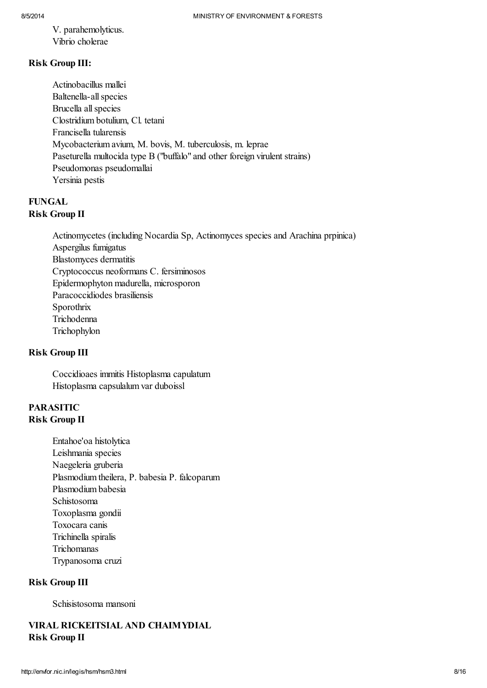V. parahemolyticus. Vibrio cholerae

# Risk Group III:

Actinobacillus mallei Baltenella-all species Brucella allspecies Clostridium botulium, Cl. tetani Francisella tularensis Mycobacterium avium, M. bovis, M. tuberculosis, m. leprae Paseturella multocida type B ("buffalo" and other foreign virulent strains) Pseudomonas pseudomallai Yersinia pestis

# FUNGAL Risk Group II

Actinomycetes (including Nocardia Sp, Actinomyces species and Arachina prpinica) Aspergilus fumigatus Blastomyces dermatitis Cryptococcus neoformans C. fersiminosos Epidermophyton madurella, microsporon Paracoccidiodes brasiliensis Sporothrix Trichodenna **Trichophylon** 

# Risk Group III

Coccidioaes immitis Histoplasma capulatum Histoplasma capsulalum var duboissl

# PARASITIC Risk Group II

Entahoe'oa histolytica Leishmania species Naegeleria gruberia Plasmodium theilera, P. babesia P. falcoparum Plasmodium babesia Schistosoma Toxoplasma gondii Toxocara canis Trichinella spiralis Trichomanas Trypanosoma cruzi

# Risk Group III

Schisistosoma mansoni

# VIRAL RICKEITSIAL AND CHAIMYDIAL Risk Group II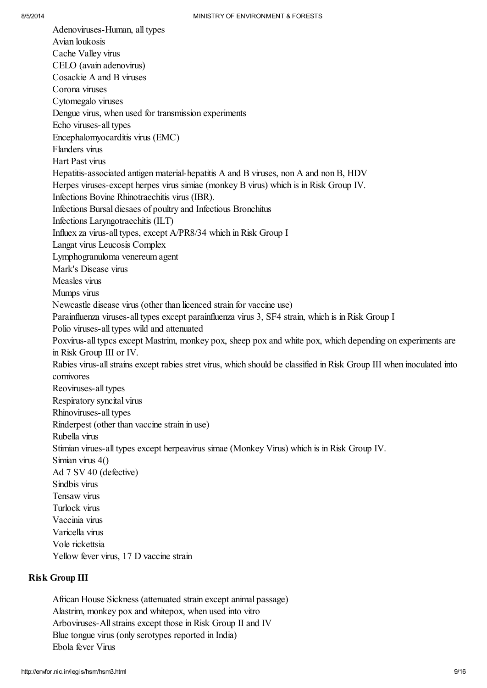Adenoviruses-Human, all types Avian loukosis Cache Valley virus CELO (avain adenovirus) Cosackie A and B viruses Corona viruses Cytomegalo viruses Dengue virus, when used for transmission experiments Echo viruses-all types Encephalomyocarditis virus (EMC) Flanders virus Hart Past virus Hepatitis-associated antigen material-hepatitis A and B viruses, non A and non B, HDV Herpes viruses-except herpes virus simiae (monkey B virus) which is in Risk Group IV. Infections Bovine Rhinotraechitis virus (IBR). Infections Bursal diesaes of poultry and Infectious Bronchitus Infections Laryngotraechitis (ILT) Influex za virus-all types, except A/PR8/34 which in Risk Group I Langat virus Leucosis Complex Lymphogranuloma venereum agent Mark's Disease virus Measles virus Mumps virus Newcastle disease virus (other than licenced strain for vaccine use) Parainfluenza viruses-all types except parainfluenza virus 3, SF4 strain, which is in Risk Group I Polio viruses-all types wild and attenuated Poxvirus-all typcs except Mastrim, monkey pox, sheep pox and white pox, which depending on experiments are in Risk Group III or IV. Rabies virus-allstrains except rabies stret virus, which should be classified in Risk Group III when inoculated into comivores Reoviruses-all types Respiratory syncital virus Rhinoviruses-all types Rinderpest (other than vaccine strain in use) Rubella virus Stimian virues-all types except herpeavirus simae (Monkey Virus) which is in Risk Group IV. Simian virus 4() Ad 7 SV 40 (defective) Sindbis virus Tensaw virus Turlock virus Vaccinia virus Varicella virus Vole rickettsia Yellow fever virus, 17 D vaccine strain

## Risk Group III

African House Sickness (attenuated strain except animal passage) Alastrim, monkey pox and whitepox, when used into vitro Arboviruses-Allstrains except those in Risk Group II and IV Blue tongue virus (only serotypes reported in India) Ebola fever Virus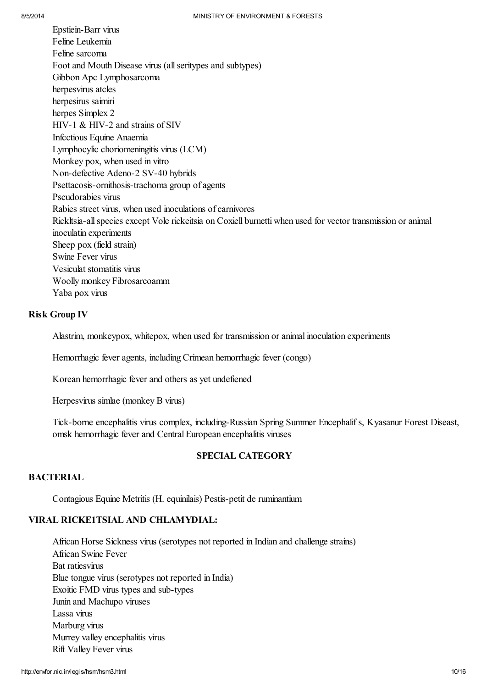Epstiein-Barr virus Feline Leukemia Feline sarcoma Foot and Mouth Disease virus (allseritypes and subtypes) Gibbon Apc Lymphosarcoma herpesvirus atcles herpesirus saimiri herpes Simplex 2 HIV-1 & HIV-2 and strains of SIV Infcctious Equine Anaemia Lymphocylic choriomeningitis virus (LCM) Monkey pox, when used in vitro Non-defective Adeno-2 SV-40 hybrids Psettacosis-ornithosis-trachoma group of agents Pscudorabies virus Rabies street virus, when used inoculations of carnivores Rickltsia-allspecies except Vole rickeitsia on Coxiell burnetti when used for vector transmission or animal inoculatin experiments Sheep pox (field strain) Swine Fever virus Vesiculat stomatitis virus Woolly monkey Fibrosarcoamm Yaba pox virus

#### Risk Group IV

Alastrim, monkeypox, whitepox, when used for transmission or animal inoculation experiments

Hemorrhagic fever agents, including Crimean hemorrhagic fever (congo)

Korean hemorrhagic fever and others as yet undefiened

Herpesvirus simlae (monkey B virus)

Tick-borne encephalitis virus complex, including-Russian Spring Summer Encephalif s, Kyasanur Forest Diseast, omsk hemorrhagic fever and Central European encephalitis viruses

#### SPECIAL CATEGORY

#### **BACTERIAL**

Contagious Equine Metritis (H. equinilais) Pestis-petit de ruminantium

# VIRAL RICKE1TSIAL AND CHLAMYDIAL:

African Horse Sickness virus (serotypes not reported in Indian and challenge strains) African Swine Fever Bat ratiesvirus Blue tongue virus (serotypes not reported in India) Exoitic FMD virus types and sub-types Junin and Machupo viruses Lassa virus Marburg virus Murrey valley encephalitis virus Rift Valley Fever virus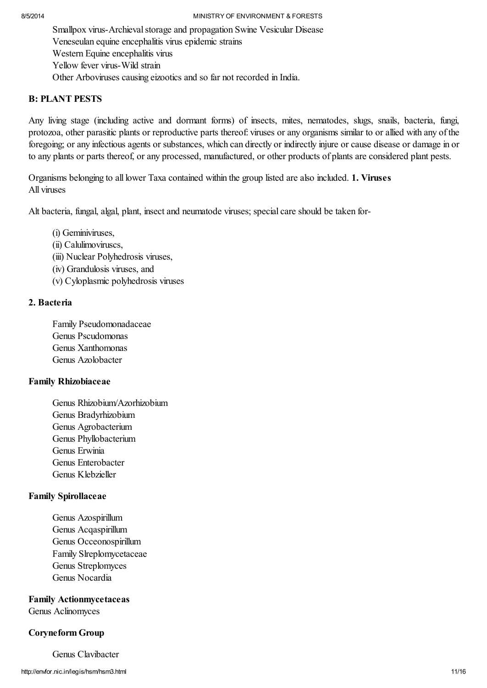Smallpox virus-Archieval storage and propagation Swine Vesicular Disease Veneseulan equine encephalitis virus epidemic strains Western Equine encephalitis virus Yellow fever virus-Wild strain Other Arboviruses causing eizootics and so far not recorded in India.

# B: PLANT PESTS

Any living stage (including active and dormant forms) of insects, mites, nematodes, slugs, snails, bacteria, fungi, protozoa, other parasitic plants or reproductive parts thereof: viruses or any organisms similar to or allied with any of the foregoing; or any infectious agents or substances, which can directly or indirectly injure or cause disease or damage in or to any plants or parts thereof, or any processed, manufactured, or other products of plants are considered plant pests.

Organisms belonging to all lower Taxa contained within the group listed are also included. 1. Viruses All viruses

Alt bacteria, fungal, algal, plant, insect and neumatode viruses; special care should be taken for-

(i) Geminiviruses,

- (ii) Calulimoviruscs,
- (iii) Nuclear Polyhedrosis viruses,
- (iv) Grandulosis viruses, and
- (v) Cyloplasmic polyhedrosis viruses

# 2. Bacteria

Family Pseudomonadaceae Genus Pscudomonas Genus Xanthomonas Genus Azolobacter

# Family Rhizobiaceae

Genus Rhizobium/Azorhizobium Genus Bradyrhizobium Genus Agrobacterium Genus Phyllobacterium Genus Erwinia Genus Enterobacter Genus Klebzieller

# Family Spirollaceae

Genus Azospirillum Genus Acqaspirillum Genus Occeonospirillum Family Slreplomycetaceae Genus Streplomyces Genus Nocardia

Family Actionmycetaceas Genus Aclinomyces

# Coryneform Group

Genus Clavibacter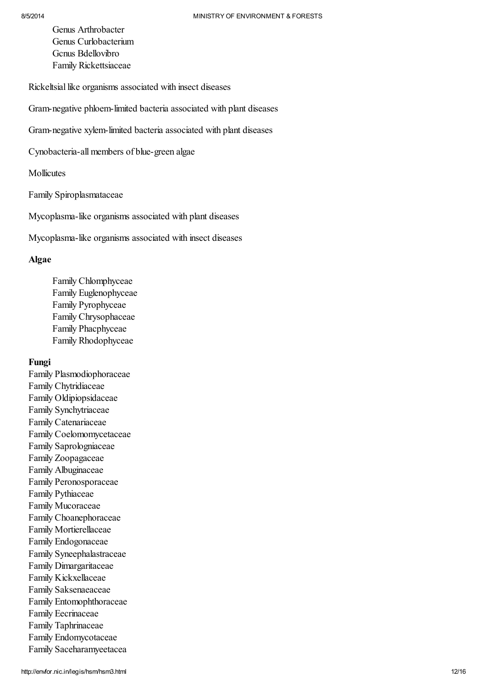Genus Arthrobacter Genus Curlobacterium Gcnus Bdellovibro Family Rickettsiaceae

Rickeltsial like organisms associated with insect diseases

Gram-negative phloem-limited bacteria associated with plant diseases

Gram-negative xylem-limited bacteria associated with plant diseases

Cynobacteria-all members of blue-green algae

Mollicutes

Family Spiroplasmataceae

Mycoplasma-like organisms associated with plant diseases

Mycoplasma-like organisms associated with insect diseases

#### Algae

Family Chlomphyceae Family Euglenophyceae Family Pyrophyceae Family Chrysophaceae Family Phacphyceae Family Rhodophyceae

## Fungi

Family Plasmodiophoraceae Family Chytridiaceae Family Oldipiopsidaceae Family Synchytriaceae Family Catenariaceae Family Coelomomycetaceae Family Saprologniaceae Family Zoopagaceae Family Albuginaceae Family Peronosporaceae Family Pythiaceae Family Mucoraceae Family Choanephoraceae Family Mortierellaceae Family Endogonaceae Family Syneephalastraceae Family Dimargaritaceae Family Kickxellaceae Family Saksenaeaceae Family Entomophthoraceae Family Eecrinaceae Family Taphrinaceae Family Endomycotaceae Family Saceharamyeetacea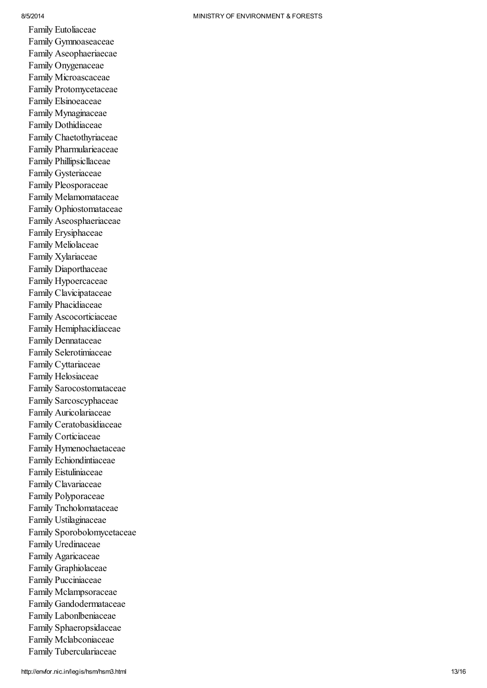8/5/2014

Family Eutoliaceae Family Gymnoaseaceae Family Aseophaeriaecae Family Onygenaceae Family Microascaceae Family Protomycetaceae Family Elsinoeaceae Family Mynaginaceae Family Dothidiaceae Family Chaetothyriaceae Family Pharmularieaceae Family Phillipsicllaceae Family Gysteriaceae Family Pleosporaceae Family Melamomataceae Family Ophiostomataceae Family Aseosphaeriaceae Family Erysiphaceae Family Meliolaceae Family Xylariaceae Family Diaporthaceae Family Hypoercaceae Family Clavicipataceae Family Phacidiaceae Family Ascocorticiaceae Family Hemiphacidiaceae Family Dennataceae Family Selerotimiaceae Family Cyttariaceae Family Helosiaceae Family Sarocostomataceae Family Sarcoscyphaceae Family Auricolariaceae Family Ceratobasidiaceae Family Corticiaceae Family Hymenochaetaceae Family Echiondintiaceae Family Eistuliniaceae Family Clavariaceae Family Polyporaceae Family Tncholomataceae Family Ustilaginaceae Family Sporobolomycetaceae Family Uredinaceae Family Agaricaceae Family Graphiolaceae Family Pucciniaceae Family Mclampsoraceae Family Gandodermataceae Family Labonlbeniaceae Family Sphaeropsidaceae Family Mclabconiaceae Family Tuberculariaceae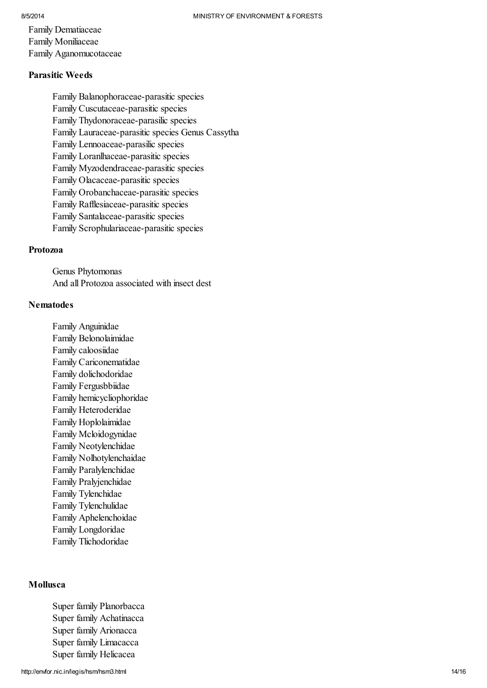Family Dematiaceae Family Moniliaceae Family Aganomucotaceae

## Parasitic Weeds

Family Balanophoraceae-parasitic species Family Cuscutaceae-parasitic species Family Thydonoraceae-parasilic species Family Lauraceae-parasitic species Genus Cassytha Family Lennoaceae-parasilic species Family Loranlhaceae-parasitic species Family Myzodendraceae-parasitic species Family Olacaceae-parasitic species Family Orobanchaceae-parasitic species Family Rafflesiaceae-parasitic species Family Santalaceae-parasitic species Family Scrophulariaceae-parasitic species

#### Protozoa

Genus Phytomonas And all Protozoa associated with insect dest

#### **Nematodes**

Family Anguinidae Family Belonolaimidae Family caloosiidae Family Cariconematidae Family dolichodoridae Family Fergusbbiidae Family hemicycliophoridae Family Heteroderidae Family Hoplolaimidae Family Mcloidogynidae Family Neotylenchidae Family Nolhotylenchaidae Family Paralylenchidae Family Pralyjenchidae Family Tylenchidae Family Tylenchulidae Family Aphelenchoidae Family Longdoridae Family Tlichodoridae

#### Mollusca

Super family Planorbacca Super family Achatinacca Super family Arionacca Super family Limacacca Super family Helicacea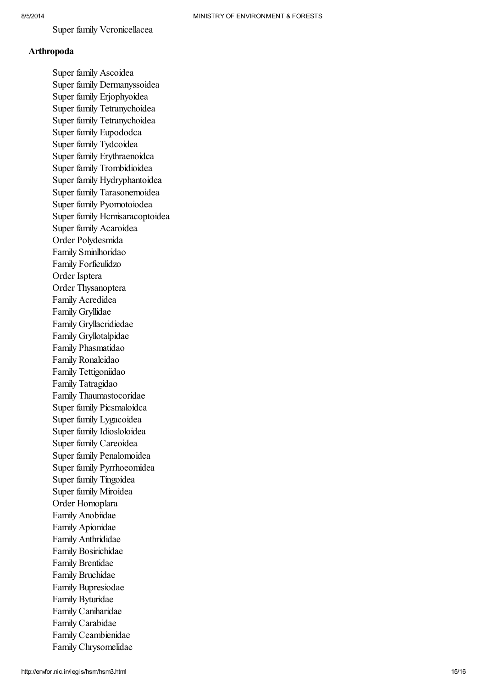Super family Vcronicellacea

#### **Arthropoda**

Super family Ascoidea Super family Dermanyssoidea Super family Erjophyoidea Super family Tetranychoidea Super family Tetranychoidea Super family Eupododca Super family Tydcoidea Super family Erythraenoidca Super family Trombidioidea Super family Hydryphantoidea Super family Tarasonemoidea Super family Pyomotoiodea Super family Hcmisaracoptoidea Super family Acaroidea Order Polydesmida Family Sminlhoridao Family Forfieulidzo Order Isptera Order Thysanoptera Family Acredidea F a mily Gryllid a e Family Gryllacridiedae Family Gryllotalpidae Family Phasmatidao Family Ronalcidao Family Tettigoniidao Family Tatragidao Family Thaumastocoridae Super family Picsmaloidca Super family Lygacoidea Super family Idiosloloidea Super family Careoidea Super family Penalomoidea Super family Pyrrhoeomidea Super family Tingoidea Super family Miroidea Order Homoplara Family Anobiidae Family Apionidae Family Anthrididae Family Bosirichidae Family Brentidae Family Bruchidae Family Bupresiodae F a mily B ytur id a e Family Caniharidae Family Carabidae Family Ceambienidae Family Chrysomelidae